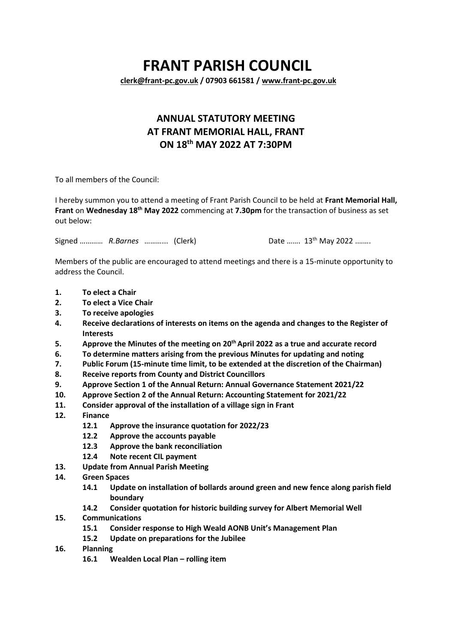## **FRANT PARISH COUNCIL**

**[clerk@frant-pc.gov.uk](mailto:clerk@frant-pc.gov.uk) / 07903 661581 [/ www.frant-pc.gov.uk](http://www.frant-pc.gov.uk/)**

## **ANNUAL STATUTORY MEETING AT FRANT MEMORIAL HALL, FRANT ON 18th MAY 2022 AT 7:30PM**

To all members of the Council:

I hereby summon you to attend a meeting of Frant Parish Council to be held at **Frant Memorial Hall, Frant** on **Wednesday 18th May 2022** commencing at **7.30pm** for the transaction of business as set out below:

Signed ………… *R.Barnes* ………… (Clerk)

Date ....... 13<sup>th</sup> May 2022 ........

Members of the public are encouraged to attend meetings and there is a 15-minute opportunity to address the Council.

- **1. To elect a Chair**
- **2. To elect a Vice Chair**
- **3. To receive apologies**
- **4. Receive declarations of interests on items on the agenda and changes to the Register of Interests**
- **5. Approve the Minutes of the meeting on 20 th April 2022 as a true and accurate record**
- **6. To determine matters arising from the previous Minutes for updating and noting**
- **7. Public Forum (15-minute time limit, to be extended at the discretion of the Chairman)**
- **8. Receive reports from County and District Councillors**
- **9. Approve Section 1 of the Annual Return: Annual Governance Statement 2021/22**
- **10. Approve Section 2 of the Annual Return: Accounting Statement for 2021/22**
- **11. Consider approval of the installation of a village sign in Frant**
- **12. Finance**
	- **12.1 Approve the insurance quotation for 2022/23**
	- **12.2 Approve the accounts payable**
	- **12.3 Approve the bank reconciliation**
	- **12.4 Note recent CIL payment**
- **13. Update from Annual Parish Meeting**
- **14. Green Spaces**
	- **14.1 Update on installation of bollards around green and new fence along parish field boundary**
	- **14.2 Consider quotation for historic building survey for Albert Memorial Well**
- **15. Communications**
	- **15.1 Consider response to High Weald AONB Unit's Management Plan**
	- **15.2 Update on preparations for the Jubilee**
- **16. Planning**
	- **16.1 Wealden Local Plan – rolling item**